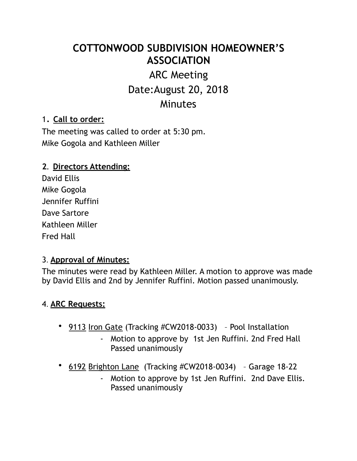# **COTTONWOOD SUBDIVISION HOMEOWNER'S ASSOCIATION**

## ARC Meeting Date:August 20, 2018 **Minutes**

## 1. **Call to order:**

The meeting was called to order at 5:30 pm. Mike Gogola and Kathleen Miller

#### **2. Directors Attending:**

David Ellis Mike Gogola Jennifer Ruffini Dave Sartore Kathleen Miller Fred Hall

#### 3. **Approval of Minutes:**

The minutes were read by Kathleen Miller. A motion to approve was made by David Ellis and 2nd by Jennifer Ruffini. Motion passed unanimously.

#### 4. **ARC Requests:**

- 9113 Iron Gate (Tracking #CW2018-0033) Pool Installation
	- Motion to approve by 1st Jen Ruffini. 2nd Fred Hall Passed unanimously
- 6192 Brighton Lane (Tracking #CW2018-0034) Garage 18-22
	- Motion to approve by 1st Jen Ruffini. 2nd Dave Ellis. Passed unanimously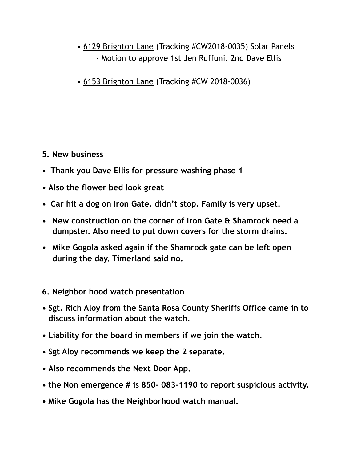- 6129 Brighton Lane (Tracking #CW2018-0035) Solar Panels - Motion to approve 1st Jen Ruffuni. 2nd Dave Ellis
- 6153 Brighton Lane (Tracking #CW 2018-0036)

#### **5. New business**

- **Thank you Dave Ellis for pressure washing phase 1**
- **• Also the flower bed look great**
- **Car hit a dog on Iron Gate. didn't stop. Family is very upset.**
- **• New construction on the corner of Iron Gate & Shamrock need a dumpster. Also need to put down covers for the storm drains.**
- **• Mike Gogola asked again if the Shamrock gate can be left open during the day. Timerland said no.**

### **6. Neighbor hood watch presentation**

- **• Sgt. Rich Aloy from the Santa Rosa County Sheriffs Office came in to discuss information about the watch.**
- **• Liability for the board in members if we join the watch.**
- **• Sgt Aloy recommends we keep the 2 separate.**
- **• Also recommends the Next Door App.**
- **• the Non emergence # is 850- 083-1190 to report suspicious activity.**
- **• Mike Gogola has the Neighborhood watch manual.**